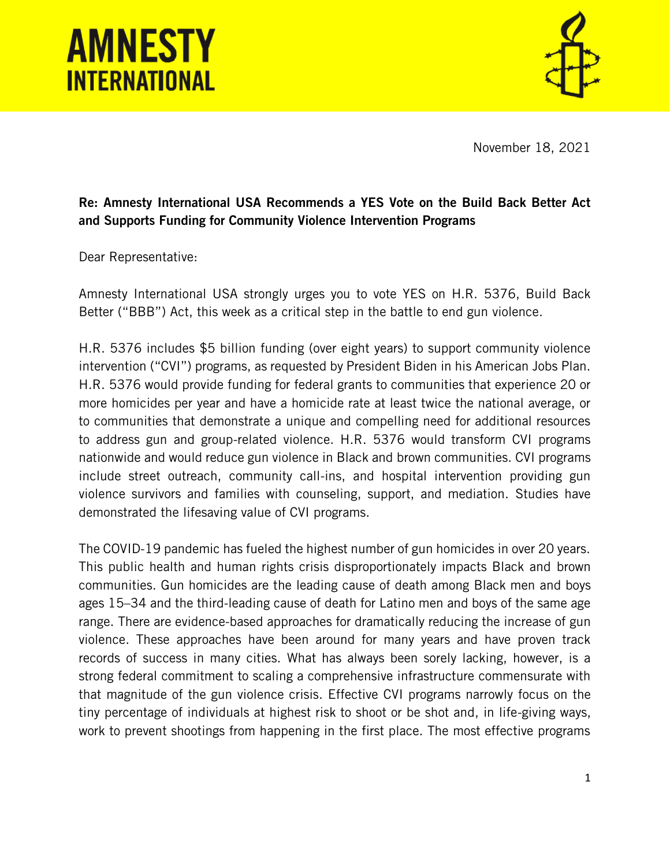## **AMNESTY INTERNATIONAL**



November 18, 2021

## Re: Amnesty International USA Recommends a YES Vote on the Build Back Better Act and Supports Funding for Community Violence Intervention Programs

Dear Representative:

Amnesty International USA strongly urges you to vote YES on H.R. 5376, Build Back Better ("BBB") Act, this week as a critical step in the battle to end gun violence.

H.R. 5376 includes \$5 billion funding (over eight years) to support community violence intervention ("CVI") programs, as requested by President Biden in his American Jobs Plan. H.R. 5376 would provide funding for federal grants to communities that experience 20 or more homicides per year and have a homicide rate at least twice the national average, or to communities that demonstrate a unique and compelling need for additional resources to address gun and group-related violence. H.R. 5376 would transform CVI programs nationwide and would reduce gun violence in Black and brown communities. CVI programs include street outreach, community call-ins, and hospital intervention providing gun violence survivors and families with counseling, support, and mediation. Studies have demonstrated the lifesaving value of CVI programs.

The COVID-19 pandemic has fueled the highest number of gun homicides in over 20 years. This public health and human rights crisis disproportionately impacts Black and brown communities. Gun homicides are the leading cause of death among Black men and boys ages 15–34 and the third-leading cause of death for Latino men and boys of the same age range. There are evidence-based approaches for dramatically reducing the increase of gun violence. These approaches have been around for many years and have proven track records of success in many cities. What has always been sorely lacking, however, is a strong federal commitment to scaling a comprehensive infrastructure commensurate with that magnitude of the gun violence crisis. Effective CVI programs narrowly focus on the tiny percentage of individuals at highest risk to shoot or be shot and, in life-giving ways, work to prevent shootings from happening in the first place. The most effective programs